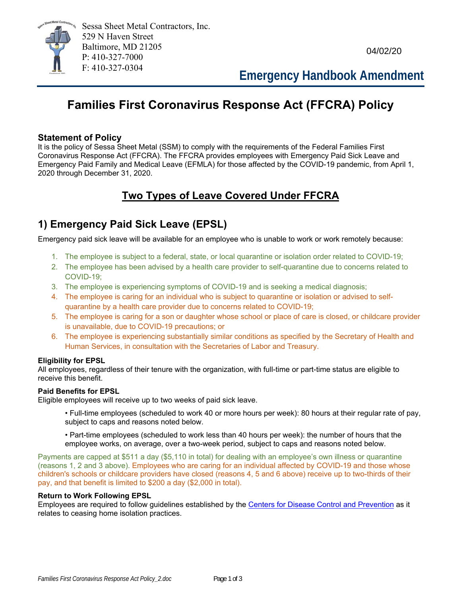

04/02/20

F: 410-327-0304 **Emergency Handbook Amendment**

# **Families First Coronavirus Response Act (FFCRA) Policy**

#### **Statement of Policy**

It is the policy of Sessa Sheet Metal (SSM) to comply with the requirements of the Federal Families First Coronavirus Response Act (FFCRA). The FFCRA provides employees with Emergency Paid Sick Leave and Emergency Paid Family and Medical Leave (EFMLA) for those affected by the COVID-19 pandemic, from April 1, 2020 through December 31, 2020.

# **Two Types of Leave Covered Under FFCRA**

# **1) Emergency Paid Sick Leave (EPSL)**

Emergency paid sick leave will be available for an employee who is unable to work or work remotely because:

- 1. The employee is subject to a federal, state, or local quarantine or isolation order related to COVID-19;
- 2. The employee has been advised by a health care provider to self-quarantine due to concerns related to COVID-19;
- 3. The employee is experiencing symptoms of COVID-19 and is seeking a medical diagnosis;
- 4. The employee is caring for an individual who is subject to quarantine or isolation or advised to selfquarantine by a health care provider due to concerns related to COVID-19;
- 5. The employee is caring for a son or daughter whose school or place of care is closed, or childcare provider is unavailable, due to COVID-19 precautions; or
- 6. The employee is experiencing substantially similar conditions as specified by the Secretary of Health and Human Services, in consultation with the Secretaries of Labor and Treasury.

#### **Eligibility for EPSL**

All employees, regardless of their tenure with the organization, with full-time or part-time status are eligible to receive this benefit.

#### **Paid Benefits for EPSL**

Eligible employees will receive up to two weeks of paid sick leave.

- Full-time employees (scheduled to work 40 or more hours per week): 80 hours at their regular rate of pay, subject to caps and reasons noted below.
- Part-time employees (scheduled to work less than 40 hours per week): the number of hours that the employee works, on average, over a two-week period, subject to caps and reasons noted below.

Payments are capped at \$511 a day (\$5,110 in total) for dealing with an employee's own illness or quarantine (reasons 1, 2 and 3 above). Employees who are caring for an individual affected by COVID-19 and those whose children's schools or childcare providers have closed (reasons 4, 5 and 6 above) receive up to two-thirds of their pay, and that benefit is limited to \$200 a day (\$2,000 in total).

#### **Return to Work Following EPSL**

Employees are required to follow guidelines established by the Centers for Disease Control and Prevention as it relates to ceasing home isolation practices.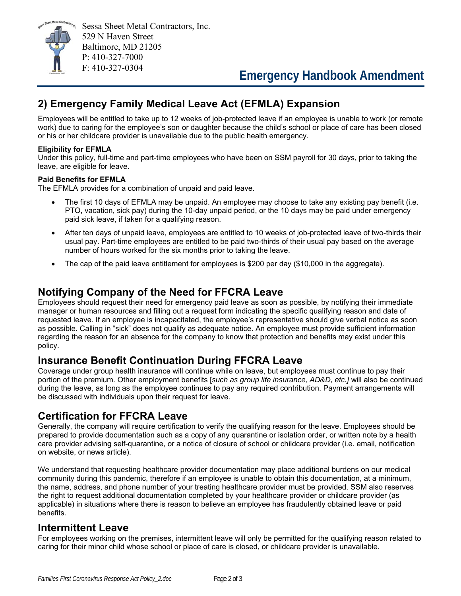

# **2) Emergency Family Medical Leave Act (EFMLA) Expansion**

Employees will be entitled to take up to 12 weeks of job-protected leave if an employee is unable to work (or remote work) due to caring for the employee's son or daughter because the child's school or place of care has been closed or his or her childcare provider is unavailable due to the public health emergency.

#### **Eligibility for EFMLA**

Under this policy, full-time and part-time employees who have been on SSM payroll for 30 days, prior to taking the leave, are eligible for leave.

#### **Paid Benefits for EFMLA**

The EFMLA provides for a combination of unpaid and paid leave.

- The first 10 days of EFMLA may be unpaid. An employee may choose to take any existing pay benefit (i.e. PTO, vacation, sick pay) during the 10-day unpaid period, or the 10 days may be paid under emergency paid sick leave, if taken for a qualifying reason.
- After ten days of unpaid leave, employees are entitled to 10 weeks of job-protected leave of two-thirds their usual pay. Part-time employees are entitled to be paid two-thirds of their usual pay based on the average number of hours worked for the six months prior to taking the leave.
- The cap of the paid leave entitlement for employees is \$200 per day (\$10,000 in the aggregate).

## **Notifying Company of the Need for FFCRA Leave**

Employees should request their need for emergency paid leave as soon as possible, by notifying their immediate manager or human resources and filling out a request form indicating the specific qualifying reason and date of requested leave. If an employee is incapacitated, the employee's representative should give verbal notice as soon as possible. Calling in "sick" does not qualify as adequate notice. An employee must provide sufficient information regarding the reason for an absence for the company to know that protection and benefits may exist under this policy.

## **Insurance Benefit Continuation During FFCRA Leave**

Coverage under group health insurance will continue while on leave, but employees must continue to pay their portion of the premium. Other employment benefits [*such as group life insurance, AD&D, etc.]* will also be continued during the leave, as long as the employee continues to pay any required contribution. Payment arrangements will be discussed with individuals upon their request for leave.

## **Certification for FFCRA Leave**

Generally, the company will require certification to verify the qualifying reason for the leave. Employees should be prepared to provide documentation such as a copy of any quarantine or isolation order, or written note by a health care provider advising self-quarantine, or a notice of closure of school or childcare provider (i.e. email, notification on website, or news article).

We understand that requesting healthcare provider documentation may place additional burdens on our medical community during this pandemic, therefore if an employee is unable to obtain this documentation, at a minimum, the name, address, and phone number of your treating healthcare provider must be provided. SSM also reserves the right to request additional documentation completed by your healthcare provider or childcare provider (as applicable) in situations where there is reason to believe an employee has fraudulently obtained leave or paid benefits.

### **Intermittent Leave**

For employees working on the premises, intermittent leave will only be permitted for the qualifying reason related to caring for their minor child whose school or place of care is closed, or childcare provider is unavailable.